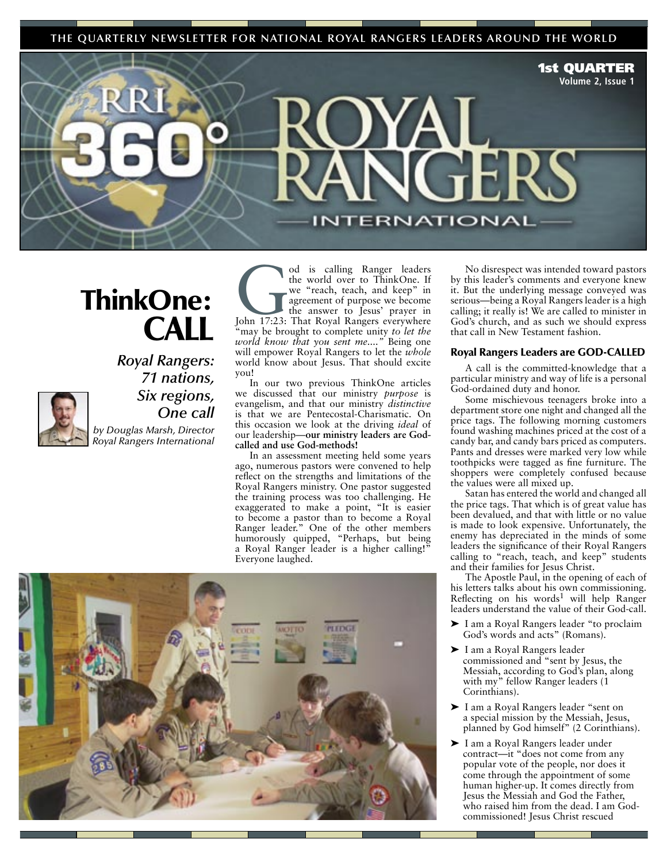**THE QUARTERLY NEWSLETTER FOR NATIONAL ROYAL RANGERS LEADERS AROUND THE WORLD**

ThinkOne: **CALL** 



*Royal Rangers: 71 nations, Six regions, One call*

*by Douglas Marsh, Director Royal Rangers International*

od is calling Ranger leaders<br>
the world over to ThinkOne. If<br>
we "reach, teach, and keep" in<br>
agreement of purpose we become<br>
the answer to Jesus' prayer in<br>
John 17:23: That Royal Rangers everywhere the world over to ThinkOne. If we "reach, teach, and keep" in agreement of purpose we become the answer to Jesus' prayer in "may be brought to complete unity *to let the world know that you sent me...."* Being one will empower Royal Rangers to let the *whole* world know about Jesus. That should excite you!

In our two previous ThinkOne articles we discussed that our ministry *purpose* is evangelism, and that our ministry *distinctive* is that we are Pentecostal-Charismatic. On this occasion we look at the driving *ideal* of our leadership—**our ministry leaders are Godcalled and use God-methods!**

In an assessment meeting held some years ago, numerous pastors were convened to help reflect on the strengths and limitations of the Royal Rangers ministry. One pastor suggested the training process was too challenging. He exaggerated to make a point, "It is easier to become a pastor than to become a Royal Ranger leader." One of the other members humorously quipped, "Perhaps, but being a Royal Ranger leader is a higher calling!" Everyone laughed.



No disrespect was intended toward pastors by this leader's comments and everyone knew it. But the underlying message conveyed was serious—being a Royal Rangers leader is a high calling; it really is! We are called to minister in God's church, and as such we should express that call in New Testament fashion.

ERNATIONAL

1st QUARTER **Volume 2, Issue 1**

#### Royal Rangers Leaders are GOD-CALLED

A call is the committed-knowledge that a particular ministry and way of life is a personal God-ordained duty and honor.

Some mischievous teenagers broke into a department store one night and changed all the price tags. The following morning customers found washing machines priced at the cost of a candy bar, and candy bars priced as computers. Pants and dresses were marked very low while toothpicks were tagged as fine furniture. The shoppers were completely confused because the values were all mixed up.

Satan has entered the world and changed all the price tags. That which is of great value has been devalued, and that with little or no value is made to look expensive. Unfortunately, the enemy has depreciated in the minds of some leaders the significance of their Royal Rangers calling to "reach, teach, and keep" students and their families for Jesus Christ.

The Apostle Paul, in the opening of each of his letters talks about his own commissioning. Reflecting on his words<sup>1</sup> will help Ranger leaders understand the value of their God-call.

- ➤ I am a Royal Rangers leader "to proclaim God's words and acts" (Romans).
- ➤ I am a Royal Rangers leader commissioned and "sent by Jesus, the Messiah, according to God's plan, along with my" fellow Ranger leaders (1 Corinthians).
- ➤ I am a Royal Rangers leader "sent on a special mission by the Messiah, Jesus, planned by God himself" (2 Corinthians).
- ➤ I am a Royal Rangers leader under contract—it "does not come from any popular vote of the people, nor does it come through the appointment of some human higher-up. It comes directly from Jesus the Messiah and God the Father, who raised him from the dead. I am Godcommissioned! Jesus Christ rescued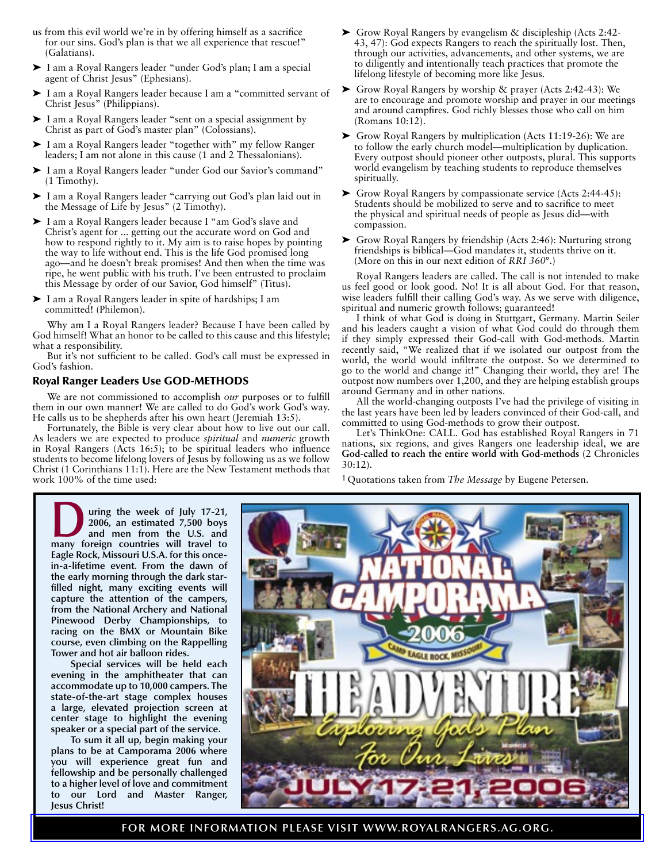- us from this evil world we're in by offering himself as a sacrifice for our sins. God's plan is that we all experience that rescue!" (Galatians).
- ➤ I am a Royal Rangers leader "under God's plan; I am a special agent of Christ Jesus" (Ephesians).
- ➤ I am a Royal Rangers leader because I am a "committed servant of Christ Jesus" (Philippians).
- ➤ I am a Royal Rangers leader "sent on a special assignment by Christ as part of God's master plan" (Colossians).
- ➤ I am a Royal Rangers leader "together with" my fellow Ranger leaders; I am not alone in this cause (1 and 2 Thessalonians).
- ➤ I am a Royal Rangers leader "under God our Savior's command" (1 Timothy).
- ➤ I am a Royal Rangers leader "carrying out God's plan laid out in the Message of Life by Jesus" (2 Timothy).
- ➤ I am a Royal Rangers leader because I "am God's slave and Christ's agent for ... getting out the accurate word on God and how to respond rightly to it. My aim is to raise hopes by pointing the way to life without end. This is the life God promised long ago—and he doesn't break promises! And then when the time was ripe, he went public with his truth. I've been entrusted to proclaim this Message by order of our Savior, God himself" (Titus).
- ➤ I am a Royal Rangers leader in spite of hardships; I am committed! (Philemon).

Why am I a Royal Rangers leader? Because I have been called by God himself! What an honor to be called to this cause and this lifestyle; what a responsibility.

But it's not sufficient to be called. God's call must be expressed in God's fashion.

### Royal Ranger Leaders Use GOD-METHODS

We are not commissioned to accomplish *our* purposes or to fulfill them in our own manner! We are called to do God's work God's way. He calls us to be shepherds after his own heart (Jeremiah 13:5).

Fortunately, the Bible is very clear about how to live out our call. As leaders we are expected to produce *spiritual* and *numeric* growth in Royal Rangers (Acts 16:5); to be spiritual leaders who influence students to become lifelong lovers of Jesus by following us as we follow Christ (1 Corinthians 11:1). Here are the New Testament methods that work 100% of the time used:

- ➤ Grow Royal Rangers by evangelism & discipleship (Acts 2:42- 43, 47): God expects Rangers to reach the spiritually lost. Then, through our activities, advancements, and other systems, we are to diligently and intentionally teach practices that promote the lifelong lifestyle of becoming more like Jesus.
- ➤ Grow Royal Rangers by worship & prayer (Acts 2:42-43): We are to encourage and promote worship and prayer in our meetings and around campfires. God richly blesses those who call on him (Romans 10:12).
- ➤ Grow Royal Rangers by multiplication (Acts 11:19-26): We are to follow the early church model—multiplication by duplication. Every outpost should pioneer other outposts, plural. This supports world evangelism by teaching students to reproduce themselves spiritually.
- ➤ Grow Royal Rangers by compassionate service (Acts 2:44-45): Students should be mobilized to serve and to sacrifice to meet the physical and spiritual needs of people as Jesus did—with compassion.
- ➤ Grow Royal Rangers by friendship (Acts 2:46): Nurturing strong friendships is biblical—God mandates it, students thrive on it. (More on this in our next edition of *RRI 360*°.)

Royal Rangers leaders are called. The call is not intended to make us feel good or look good. No! It is all about God. For that reason, wise leaders fulfill their calling God's way. As we serve with diligence, spiritual and numeric growth follows; guaranteed!

I think of what God is doing in Stuttgart, Germany. Martin Seiler and his leaders caught a vision of what God could do through them if they simply expressed their God-call with God-methods. Martin recently said, "We realized that if we isolated our outpost from the world, the world would infiltrate the outpost. So we determined to go to the world and change it!" Changing their world, they are! The outpost now numbers over 1,200, and they are helping establish groups around Germany and in other nations.

All the world-changing outposts I've had the privilege of visiting in the last years have been led by leaders convinced of their God-call, and committed to using God-methods to grow their outpost.

Let's ThinkOne: CALL. God has established Royal Rangers in 71 nations, six regions, and gives Rangers one leadership ideal, **we are God-called to reach the entire world with God-methods** (2 Chronicles 30:12).

1 Quotations taken from *The Message* by Eugene Petersen.

**During the week of July 17-21, 2006, an estimated 7,500 boys and men from the U.S. and many foreign countries will travel to Eagle Rock, Missouri U.S.A. for this oncein-a-lifetime event. From the dawn of the early morning through the dark starfilled night, many exciting events will capture the attention of the campers, from the National Archery and National Pinewood Derby Championships, to racing on the BMX or Mountain Bike course, even climbing on the Rappelling Tower and hot air balloon rides.**

**Special services will be held each evening in the amphitheater that can accommodate up to 10,000 campers. The state-of-the-art stage complex houses a large, elevated projection screen at center stage to highlight the evening speaker or a special part of the service.** 

**To sum it all up, begin making your plans to be at Camporama 2006 where you will experience great fun and fellowship and be personally challenged to a higher level of love and commitment to our Lord and Master Ranger, Jesus Christ!** 



**[FOR MORE INFORMATION PLEASE VISIT WWW.ROYALRANGERS.AG.ORG.](http://www.royalrangers.ag.org)**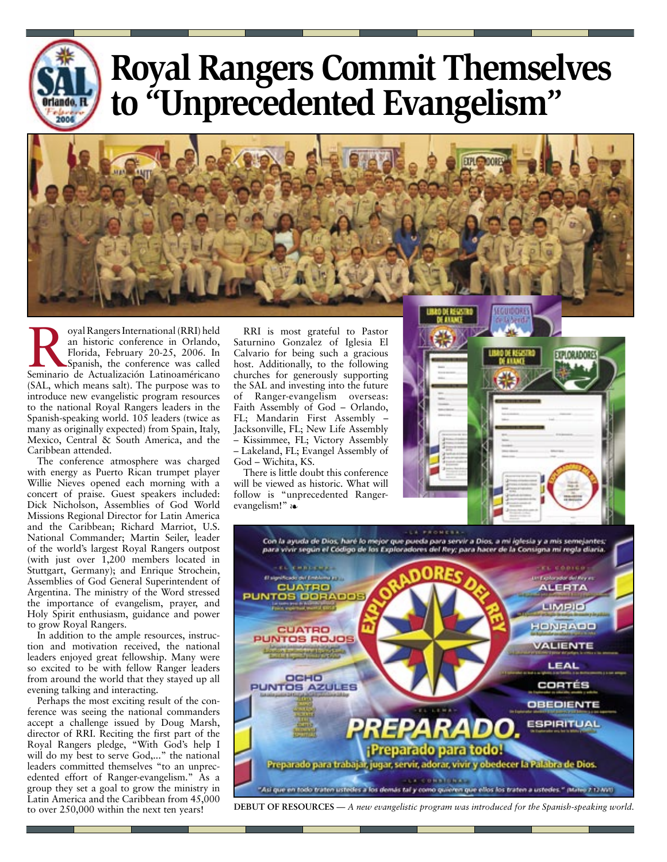

## **Royal Rangers Commit Themselves to "Unprecedented Evangelism"**

Poyal Rangers International (RRI) held<br>
an historic conference in Orlando,<br>
Florida, February 20-25, 2006. In<br>
Spanish, the conference was called<br>
Seminario de Actualización Latinoaméricano an historic conference in Orlando, Florida, February 20-25, 2006. In Spanish, the conference was called (SAL, which means salt). The purpose was to introduce new evangelistic program resources to the national Royal Rangers leaders in the Spanish-speaking world. 105 leaders (twice as many as originally expected) from Spain, Italy, Mexico, Central & South America, and the Caribbean attended.

The conference atmosphere was charged with energy as Puerto Rican trumpet player Willie Nieves opened each morning with a concert of praise. Guest speakers included: Dick Nicholson, Assemblies of God World Missions Regional Director for Latin America and the Caribbean; Richard Marriot, U.S. National Commander; Martin Seiler, leader of the world's largest Royal Rangers outpost (with just over 1,200 members located in Stuttgart, Germany); and Enrique Strochein, Assemblies of God General Superintendent of Argentina. The ministry of the Word stressed the importance of evangelism, prayer, and Holy Spirit enthusiasm, guidance and power to grow Royal Rangers.

In addition to the ample resources, instruction and motivation received, the national leaders enjoyed great fellowship. Many were so excited to be with fellow Ranger leaders from around the world that they stayed up all evening talking and interacting.

Perhaps the most exciting result of the conference was seeing the national commanders accept a challenge issued by Doug Marsh, director of RRI. Reciting the first part of the Royal Rangers pledge, "With God's help I will do my best to serve God,..." the national leaders committed themselves "to an unprecedented effort of Ranger-evangelism." As a group they set a goal to grow the ministry in Latin America and the Caribbean from 45,000 to over 250,000 within the next ten years!

RRI is most grateful to Pastor Saturnino Gonzalez of Iglesia El Calvario for being such a gracious host. Additionally, to the following churches for generously supporting the SAL and investing into the future of Ranger-evangelism overseas: Faith Assembly of God – Orlando, FL; Mandarin First Assembly – Jacksonville, FL; New Life Assembly – Kissimmee, FL; Victory Assembly – Lakeland, FL; Evangel Assembly of God – Wichita, KS.

There is little doubt this conference will be viewed as historic. What will follow is "unprecedented Rangerevangelism!" ❧



**SUPLORADORES** 

**DEBUT OF RESOURCES** *— A new evangelistic program was introduced for the Spanish-speaking world.*